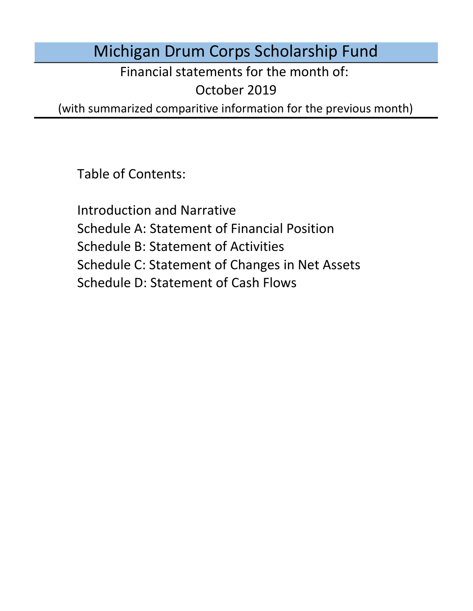Michigan Drum Corps Scholarship Fund

Financial statements for the month of:

October 2019

(with summarized comparitive information for the previous month)

Table of Contents:

Schedule D: Statement of Cash Flows Introduction and Narrative Schedule A: Statement of Financial Position Schedule B: Statement of Activities Schedule C: Statement of Changes in Net Assets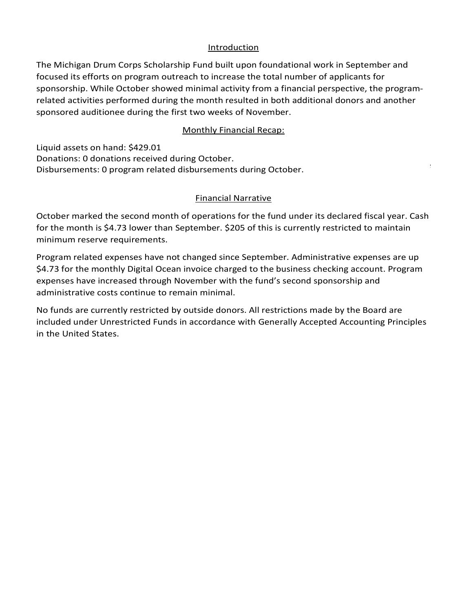#### Introduction Introduction

The Michigan Drum Corps Scholarship Fund built upon foundational work in September and focused its efforts on program outreach to increase the total number of applicants for sponsorship. While October showed minimal activity from a financial perspective, the programrelated activities performed during the month resulted in both additional donors and another<br>sponsored auditionee during the first two weeks of November. sponsored auditionee during the first two weeks of November.

### Monthly Financial Recap:

Monthly Financial Recap:<br>
id assets on hand: \$429.01<br>
ations: 0 donations received during October.<br>
wrsements: 0 program related disburements during October. 2020 season belief the property of the season of the season of the season of the season of the season of the s<br>Season of the season of the season of the season of the season of the season of the season of the season of the Liquid assets on hand: \$429.01 Donations: 0 donations received during October. Disbursements: 0 program related disbursements during October.

#### $T$   $F$ inancial Narrative to  $F$ Financial Narrative

of the scholarship fund. We could not have made it this far without your continued support! for the month is \$4.73 lower than September. \$205 of this is currently restricted to maintain minimum reserve requirements. October marked the second month of operations for the fund under its declared fiscal year. Cash

Program related expenses have not changed since September. Administrative expenses are up Program related expenses have not enanged since september. Hammistrative expenses are ap-<br>\$4.73 for the monthly Digital Ocean invoice charged to the business checking account. Program administrative costs continue to remain minimal. expenses have increased through November with the fund's second sponsorship and

No funds are currently restricted by outside donors. All restrictions made by the Board are included under Unrestricted Funds in accordance with Generally Accepted Accounting Principles in the United States. The minimum reserve requirements of the United States.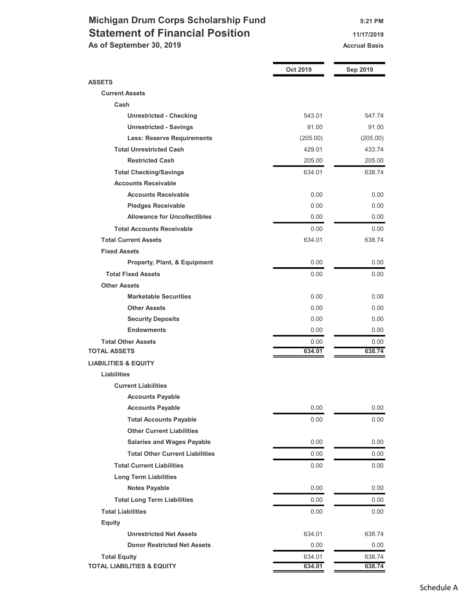# Michigan Drum Corps Scholarship Fund 5:21 PM Statement of Financial Position 11/17/2019

As of September 30, 2019 Accrual Basis Accrual Basis

|                                                              | <b>Oct 2019</b>  | Sep 2019         |
|--------------------------------------------------------------|------------------|------------------|
| <b>ASSETS</b>                                                |                  |                  |
| <b>Current Assets</b>                                        |                  |                  |
| Cash                                                         |                  |                  |
| <b>Unrestricted - Checking</b>                               | 543.01           | 547.74           |
| <b>Unrestricted - Savings</b>                                | 91.00            | 91.00            |
| <b>Less: Reserve Requirements</b>                            | (205.00)         | (205.00)         |
| <b>Total Unrestricted Cash</b>                               | 429.01           | 433.74           |
| <b>Restricted Cash</b>                                       | 205.00           | 205.00           |
| <b>Total Checking/Savings</b>                                | 634.01           | 638.74           |
| <b>Accounts Receivable</b>                                   |                  |                  |
| <b>Accounts Receivable</b>                                   | 0.00             | 0.00             |
| <b>Pledges Receivable</b>                                    | 0.00             | 0.00             |
| <b>Allowance for Uncollectibles</b>                          | 0.00             | 0.00             |
| <b>Total Accounts Receivable</b>                             | 0.00             | 0.00             |
| <b>Total Current Assets</b>                                  | 634.01           | 638.74           |
| <b>Fixed Assets</b>                                          |                  |                  |
| Property, Plant, & Equipment                                 | 0.00             | 0.00             |
| <b>Total Fixed Assets</b>                                    | 0.00             | 0.00             |
| <b>Other Assets</b>                                          |                  |                  |
| <b>Marketable Securities</b>                                 | 0.00             | 0.00             |
| <b>Other Assets</b>                                          | 0.00             | 0.00             |
| <b>Security Deposits</b>                                     | 0.00             | 0.00             |
| <b>Endowments</b>                                            | 0.00             | 0.00             |
| <b>Total Other Assets</b>                                    | 0.00             | 0.00             |
| <b>TOTAL ASSETS</b>                                          | 634.01           | 638.74           |
| <b>LIABILITIES &amp; EQUITY</b>                              |                  |                  |
| Liabilities                                                  |                  |                  |
| <b>Current Liabilities</b>                                   |                  |                  |
| <b>Accounts Payable</b>                                      |                  |                  |
| <b>Accounts Payable</b>                                      | 0.00             | 0.00             |
| <b>Total Accounts Payable</b>                                | 0.00             | 0.00             |
| <b>Other Current Liabilities</b>                             |                  |                  |
| <b>Salaries and Wages Payable</b>                            | 0.00             | 0.00             |
| <b>Total Other Current Liabilities</b>                       | 0.00             | 0.00             |
| <b>Total Current Liabilities</b>                             | 0.00             | 0.00             |
| <b>Long Term Liabilities</b>                                 |                  |                  |
| <b>Notes Payable</b>                                         | 0.00             | 0.00             |
| <b>Total Long Term Liabilities</b>                           | 0.00             | 0.00             |
|                                                              |                  |                  |
| <b>Total Liabilities</b>                                     | 0.00             | 0.00             |
| <b>Equity</b>                                                |                  |                  |
| <b>Unrestricted Net Assets</b>                               | 634.01           | 638.74           |
| <b>Donor Restricted Net Assets</b>                           | 0.00             | 0.00             |
| <b>Total Equity</b><br><b>TOTAL LIABILITIES &amp; EQUITY</b> | 634.01<br>634.01 | 638.74<br>638.74 |
|                                                              |                  |                  |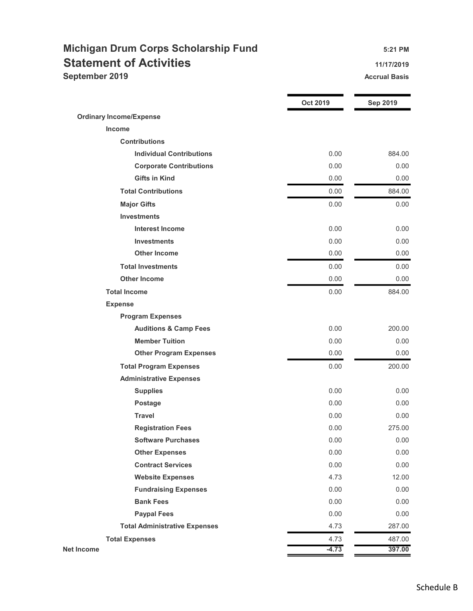## Michigan Drum Corps Scholarship Fund 5:21 PM Statement of Activities **11/17/2019 September 2019** Accrual Basis **Accrual Basis** Accrual Basis

|                                      | Oct 2019 | <b>Sep 2019</b> |
|--------------------------------------|----------|-----------------|
| <b>Ordinary Income/Expense</b>       |          |                 |
| Income                               |          |                 |
| <b>Contributions</b>                 |          |                 |
| <b>Individual Contributions</b>      | 0.00     | 884.00          |
| <b>Corporate Contributions</b>       | 0.00     | 0.00            |
| <b>Gifts in Kind</b>                 | 0.00     | 0.00            |
| <b>Total Contributions</b>           | 0.00     | 884.00          |
| <b>Major Gifts</b>                   | 0.00     | 0.00            |
| <b>Investments</b>                   |          |                 |
| <b>Interest Income</b>               | 0.00     | 0.00            |
| <b>Investments</b>                   | 0.00     | 0.00            |
| <b>Other Income</b>                  | 0.00     | 0.00            |
| <b>Total Investments</b>             | 0.00     | 0.00            |
| <b>Other Income</b>                  | 0.00     | 0.00            |
| <b>Total Income</b>                  | 0.00     | 884.00          |
| <b>Expense</b>                       |          |                 |
| <b>Program Expenses</b>              |          |                 |
| <b>Auditions &amp; Camp Fees</b>     | 0.00     | 200.00          |
| <b>Member Tuition</b>                | 0.00     | 0.00            |
| <b>Other Program Expenses</b>        | 0.00     | 0.00            |
| <b>Total Program Expenses</b>        | 0.00     | 200.00          |
| <b>Administrative Expenses</b>       |          |                 |
| <b>Supplies</b>                      | 0.00     | 0.00            |
| Postage                              | 0.00     | 0.00            |
| <b>Travel</b>                        | 0.00     | 0.00            |
| <b>Registration Fees</b>             | 0.00     | 275.00          |
| <b>Software Purchases</b>            | 0.00     | 0.00            |
| <b>Other Expenses</b>                | 0.00     | 0.00            |
| <b>Contract Services</b>             | 0.00     | 0.00            |
| <b>Website Expenses</b>              | 4.73     | 12.00           |
| <b>Fundraising Expenses</b>          | 0.00     | 0.00            |
| <b>Bank Fees</b>                     | 0.00     | 0.00            |
| <b>Paypal Fees</b>                   | 0.00     | 0.00            |
| <b>Total Administrative Expenses</b> | 4.73     | 287.00          |
| <b>Total Expenses</b>                | 4.73     | 487.00          |
| <b>Net Income</b>                    | $-4.73$  | 397.00          |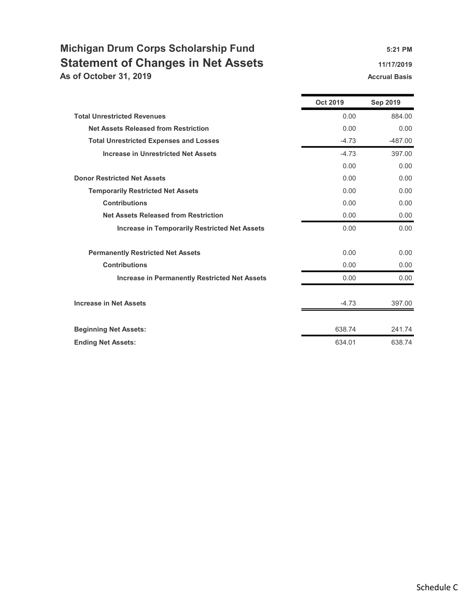## Michigan Drum Corps Scholarship Fund 5:21 PM Statement of Changes in Net Assets 11/17/2019 As of October 31, 2019 **Accrual Basis** Accrual Basis Accrual Basis

|                                                      | <b>Oct 2019</b> | <b>Sep 2019</b> |
|------------------------------------------------------|-----------------|-----------------|
| <b>Total Unrestricted Revenues</b>                   | 0.00            | 884.00          |
| <b>Net Assets Released from Restriction</b>          | 0.00            | 0.00            |
| <b>Total Unrestricted Expenses and Losses</b>        | $-4.73$         | $-487.00$       |
| <b>Increase in Unrestricted Net Assets</b>           | $-4.73$         | 397.00          |
|                                                      | 0.00            | 0.00            |
| <b>Donor Restricted Net Assets</b>                   | 0.00            | 0.00            |
| <b>Temporarily Restricted Net Assets</b>             | 0.00            | 0.00            |
| <b>Contributions</b>                                 | 0.00            | 0.00            |
| <b>Net Assets Released from Restriction</b>          | 0.00            | 0.00            |
| <b>Increase in Temporarily Restricted Net Assets</b> | 0.00            | 0.00            |
| <b>Permanently Restricted Net Assets</b>             | 0.00            | 0.00            |
| <b>Contributions</b>                                 | 0.00            | 0.00            |
| <b>Increase in Permanently Restricted Net Assets</b> | 0.00            | 0.00            |
| <b>Increase in Net Assets</b>                        | $-4.73$         | 397.00          |
| <b>Beginning Net Assets:</b>                         | 638.74          | 241.74          |
| <b>Ending Net Assets:</b>                            | 634.01          | 638.74          |